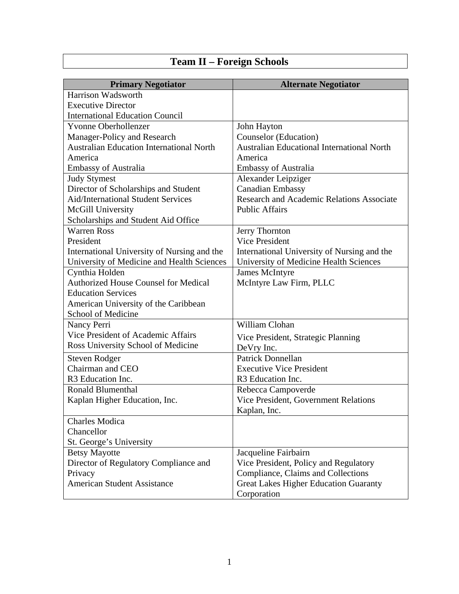## **Team II – Foreign Schools**

| <b>Primary Negotiator</b>                       | <b>Alternate Negotiator</b>                       |
|-------------------------------------------------|---------------------------------------------------|
| Harrison Wadsworth                              |                                                   |
| <b>Executive Director</b>                       |                                                   |
| <b>International Education Council</b>          |                                                   |
| <b>Yvonne Oberhollenzer</b>                     | John Hayton                                       |
| Manager-Policy and Research                     | <b>Counselor</b> (Education)                      |
| <b>Australian Education International North</b> | <b>Australian Educational International North</b> |
| America                                         | America                                           |
| <b>Embassy of Australia</b>                     | <b>Embassy of Australia</b>                       |
| <b>Judy Stymest</b>                             | Alexander Leipziger                               |
| Director of Scholarships and Student            | <b>Canadian Embassy</b>                           |
| <b>Aid/International Student Services</b>       | <b>Research and Academic Relations Associate</b>  |
| McGill University                               | <b>Public Affairs</b>                             |
| Scholarships and Student Aid Office             |                                                   |
| <b>Warren Ross</b>                              | Jerry Thornton                                    |
| President                                       | Vice President                                    |
| International University of Nursing and the     | International University of Nursing and the       |
| University of Medicine and Health Sciences      | University of Medicine Health Sciences            |
| Cynthia Holden                                  | <b>James McIntyre</b>                             |
| <b>Authorized House Counsel for Medical</b>     | McIntyre Law Firm, PLLC                           |
| <b>Education Services</b>                       |                                                   |
| American University of the Caribbean            |                                                   |
| School of Medicine                              |                                                   |
| Nancy Perri                                     | William Clohan                                    |
| Vice President of Academic Affairs              | Vice President, Strategic Planning                |
| Ross University School of Medicine              | DeVry Inc.                                        |
| <b>Steven Rodger</b>                            | Patrick Donnellan                                 |
| Chairman and CEO                                | <b>Executive Vice President</b>                   |
| R3 Education Inc.                               | R <sub>3</sub> Education Inc.                     |
| <b>Ronald Blumenthal</b>                        | Rebecca Campoverde                                |
| Kaplan Higher Education, Inc.                   | Vice President, Government Relations              |
|                                                 | Kaplan, Inc.                                      |
| <b>Charles Modica</b>                           |                                                   |
| Chancellor                                      |                                                   |
| St. George's University                         |                                                   |
| <b>Betsy Mayotte</b>                            | Jacqueline Fairbairn                              |
| Director of Regulatory Compliance and           | Vice President, Policy and Regulatory             |
| Privacy                                         | Compliance, Claims and Collections                |
| <b>American Student Assistance</b>              | <b>Great Lakes Higher Education Guaranty</b>      |
|                                                 | Corporation                                       |